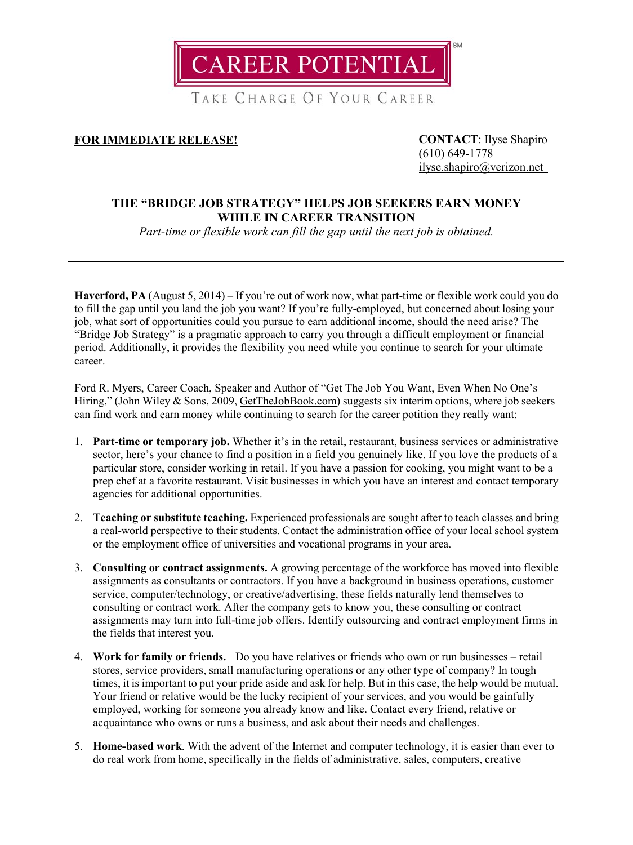**CAREER POTENTIAL** 

TAKE CHARGE OF YOUR CAREER

## **FOR IMMEDIATE RELEASE! CONTACT**: Ilyse Shapiro

(610) 649-1778 [ilyse.shapiro@verizon.net](mailto:ilyse.shapiro@verizon.net)

## **THE "BRIDGE JOB STRATEGY" HELPS JOB SEEKERS EARN MONEY WHILE IN CAREER TRANSITION**

*Part-time or flexible work can fill the gap until the next job is obtained.*

**Haverford, PA** (August 5, 2014) – If you're out of work now, what part-time or flexible work could you do to fill the gap until you land the job you want? If you're fully-employed, but concerned about losing your job, what sort of opportunities could you pursue to earn additional income, should the need arise? The "Bridge Job Strategy" is a pragmatic approach to carry you through a difficult employment or financial period. Additionally, it provides the flexibility you need while you continue to search for your ultimate career.

Ford R. Myers, Career Coach, Speaker and Author of "Get The Job You Want, Even When No One's Hiring," (John Wiley & Sons, 2009, [GetTheJobBook.com\)](http://www.getthejobbook.com/) suggests six interim options, where job seekers can find work and earn money while continuing to search for the career potition they really want:

- 1. **Part-time or temporary job.** Whether it's in the retail, restaurant, business services or administrative sector, here's your chance to find a position in a field you genuinely like. If you love the products of a particular store, consider working in retail. If you have a passion for cooking, you might want to be a prep chef at a favorite restaurant. Visit businesses in which you have an interest and contact temporary agencies for additional opportunities.
- 2. **Teaching or substitute teaching.** Experienced professionals are sought after to teach classes and bring a real-world perspective to their students. Contact the administration office of your local school system or the employment office of universities and vocational programs in your area.
- 3. **Consulting or contract assignments.** A growing percentage of the workforce has moved into flexible assignments as consultants or contractors. If you have a background in business operations, customer service, computer/technology, or creative/advertising, these fields naturally lend themselves to consulting or contract work. After the company gets to know you, these consulting or contract assignments may turn into full-time job offers. Identify outsourcing and contract employment firms in the fields that interest you.
- 4. **Work for family or friends.** Do you have relatives or friends who own or run businesses retail stores, service providers, small manufacturing operations or any other type of company? In tough times, it is important to put your pride aside and ask for help. But in this case, the help would be mutual. Your friend or relative would be the lucky recipient of your services, and you would be gainfully employed, working for someone you already know and like. Contact every friend, relative or acquaintance who owns or runs a business, and ask about their needs and challenges.
- 5. **Home-based work**. With the advent of the Internet and computer technology, it is easier than ever to do real work from home, specifically in the fields of administrative, sales, computers, creative